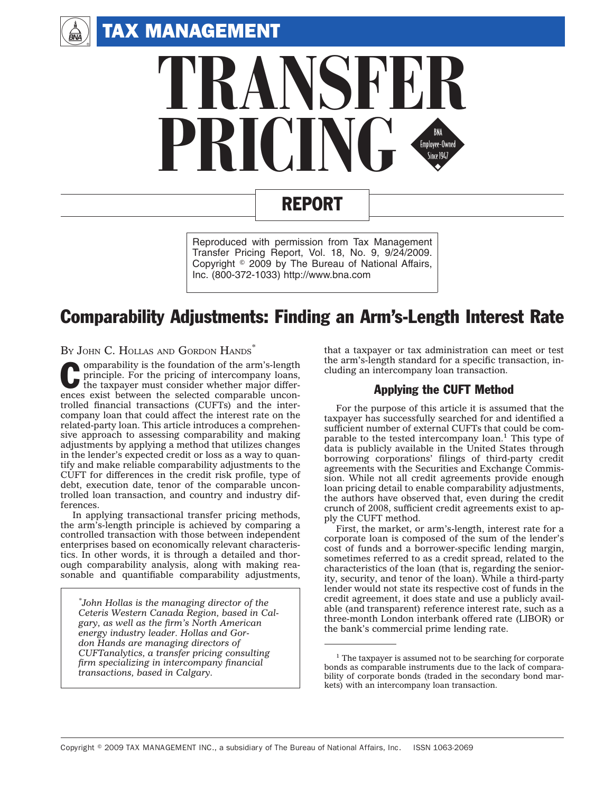

 $\begin{pmatrix} \frac{1}{2} \\ \frac{1}{2} \\ \frac{1}{2} \end{pmatrix}$ 



# REPORT

Reproduced with permission from Tax Management Transfer Pricing Report, Vol. 18, No. 9, 9/24/2009. Copyright © 2009 by The Bureau of National Affairs, Inc. (800-372-1033) http://www.bna.com

# Comparability Adjustments: Finding an Arm's-Length Interest Rate

BY JOHN C. HOLLAS AND GORDON HANDS

C omparability is the foundation of the arm's-length principle. For the pricing of intercompany loans, the taxpayer must consider whether major differences exist between the selected comparable uncontrolled financial transactions (CUFTs) and the intercompany loan that could affect the interest rate on the related-party loan. This article introduces a comprehensive approach to assessing comparability and making adjustments by applying a method that utilizes changes in the lender's expected credit or loss as a way to quantify and make reliable comparability adjustments to the CUFT for differences in the credit risk profile, type of debt, execution date, tenor of the comparable uncontrolled loan transaction, and country and industry differences.

In applying transactional transfer pricing methods, the arm's-length principle is achieved by comparing a controlled transaction with those between independent enterprises based on economically relevant characteristics. In other words, it is through a detailed and thorough comparability analysis, along with making reasonable and quantifiable comparability adjustments,

*\* John Hollas is the managing director of the Ceteris Western Canada Region, based in Calgary, as well as the firm's North American energy industry leader. Hollas and Gordon Hands are managing directors of CUFTanalytics, a transfer pricing consulting firm specializing in intercompany financial transactions, based in Calgary.*

that a taxpayer or tax administration can meet or test the arm's-length standard for a specific transaction, including an intercompany loan transaction.

# Applying the CUFT Method

For the purpose of this article it is assumed that the taxpayer has successfully searched for and identified a sufficient number of external CUFTs that could be comparable to the tested intercompany loan.<sup>1</sup> This type of data is publicly available in the United States through borrowing corporations' filings of third-party credit agreements with the Securities and Exchange Commission. While not all credit agreements provide enough loan pricing detail to enable comparability adjustments, the authors have observed that, even during the credit crunch of 2008, sufficient credit agreements exist to apply the CUFT method.

First, the market, or arm's-length, interest rate for a corporate loan is composed of the sum of the lender's cost of funds and a borrower-specific lending margin, sometimes referred to as a credit spread, related to the characteristics of the loan (that is, regarding the seniority, security, and tenor of the loan). While a third-party lender would not state its respective cost of funds in the credit agreement, it does state and use a publicly available (and transparent) reference interest rate, such as a three-month London interbank offered rate (LIBOR) or the bank's commercial prime lending rate.

<sup>&</sup>lt;sup>1</sup> The taxpayer is assumed not to be searching for corporate bonds as comparable instruments due to the lack of comparability of corporate bonds (traded in the secondary bond markets) with an intercompany loan transaction.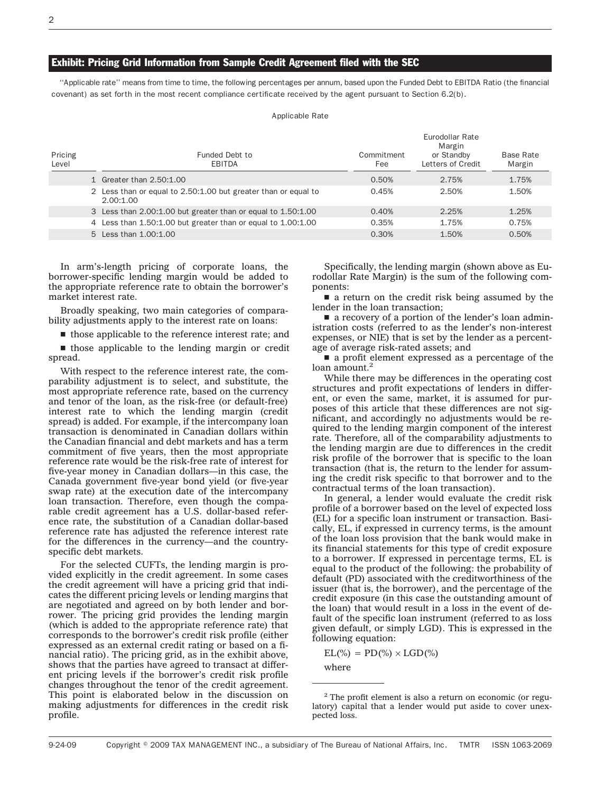#### Exhibit: Pricing Grid Information from Sample Credit Agreement filed with the SEC

''Applicable rate'' means from time to time, the following percentages per annum, based upon the Funded Debt to EBITDA Ratio (the financial covenant) as set forth in the most recent compliance certificate received by the agent pursuant to Section 6.2(b).

Applicable Rate

| Pricing<br>Level | Funded Debt to<br>EBITDA                                                    | Commitment<br>Fee | Eurodollar Rate<br>Margin<br>or Standby<br>Letters of Credit | Base Rate<br>Margin |
|------------------|-----------------------------------------------------------------------------|-------------------|--------------------------------------------------------------|---------------------|
|                  | 1 Greater than 2.50:1.00                                                    | 0.50%             | 2.75%                                                        | 1.75%               |
|                  | 2 Less than or equal to 2.50:1.00 but greater than or equal to<br>2.00:1.00 | 0.45%             | 2.50%                                                        | 1.50%               |
|                  | 3 Less than 2.00:1.00 but greater than or equal to 1.50:1.00                | 0.40%             | 2.25%                                                        | 1.25%               |
|                  | 4 Less than 1.50:1.00 but greater than or equal to 1.00:1.00                | 0.35%             | 1.75%                                                        | 0.75%               |
|                  | 5 Less than 1,00:1,00                                                       | 0.30%             | 1.50%                                                        | 0.50%               |

In arm's-length pricing of corporate loans, the borrower-specific lending margin would be added to the appropriate reference rate to obtain the borrower's market interest rate.

Broadly speaking, two main categories of comparability adjustments apply to the interest rate on loans:

 $\blacksquare$  those applicable to the reference interest rate; and

 $\blacksquare$  those applicable to the lending margin or credit spread.

With respect to the reference interest rate, the comparability adjustment is to select, and substitute, the most appropriate reference rate, based on the currency and tenor of the loan, as the risk-free (or default-free) interest rate to which the lending margin (credit spread) is added. For example, if the intercompany loan transaction is denominated in Canadian dollars within the Canadian financial and debt markets and has a term commitment of five years, then the most appropriate reference rate would be the risk-free rate of interest for five-year money in Canadian dollars—in this case, the Canada government five-year bond yield (or five-year swap rate) at the execution date of the intercompany loan transaction. Therefore, even though the comparable credit agreement has a U.S. dollar-based reference rate, the substitution of a Canadian dollar-based reference rate has adjusted the reference interest rate for the differences in the currency—and the countryspecific debt markets.

For the selected CUFTs, the lending margin is provided explicitly in the credit agreement. In some cases the credit agreement will have a pricing grid that indicates the different pricing levels or lending margins that are negotiated and agreed on by both lender and borrower. The pricing grid provides the lending margin (which is added to the appropriate reference rate) that corresponds to the borrower's credit risk profile (either expressed as an external credit rating or based on a financial ratio). The pricing grid, as in the exhibit above, shows that the parties have agreed to transact at different pricing levels if the borrower's credit risk profile changes throughout the tenor of the credit agreement. This point is elaborated below in the discussion on making adjustments for differences in the credit risk profile.

Specifically, the lending margin (shown above as Eurodollar Rate Margin) is the sum of the following components:

 $\blacksquare$  a return on the credit risk being assumed by the lender in the loan transaction;

a recovery of a portion of the lender's loan administration costs (referred to as the lender's non-interest expenses, or NIE) that is set by the lender as a percentage of average risk-rated assets; and

 $\blacksquare$  a profit element expressed as a percentage of the loan amount.<sup>2</sup>

While there may be differences in the operating cost structures and profit expectations of lenders in different, or even the same, market, it is assumed for purposes of this article that these differences are not significant, and accordingly no adjustments would be required to the lending margin component of the interest rate. Therefore, all of the comparability adjustments to the lending margin are due to differences in the credit risk profile of the borrower that is specific to the loan transaction (that is, the return to the lender for assuming the credit risk specific to that borrower and to the contractual terms of the loan transaction).

In general, a lender would evaluate the credit risk profile of a borrower based on the level of expected loss (EL) for a specific loan instrument or transaction. Basically, EL, if expressed in currency terms, is the amount of the loan loss provision that the bank would make in its financial statements for this type of credit exposure to a borrower. If expressed in percentage terms, EL is equal to the product of the following: the probability of default (PD) associated with the creditworthiness of the issuer (that is, the borrower), and the percentage of the credit exposure (in this case the outstanding amount of the loan) that would result in a loss in the event of default of the specific loan instrument (referred to as loss given default, or simply LGD). This is expressed in the following equation:

 $EL(\%) = PD(\%) \times LGD(\%)$ 

where

 $2$  The profit element is also a return on economic (or regulatory) capital that a lender would put aside to cover unexpected loss.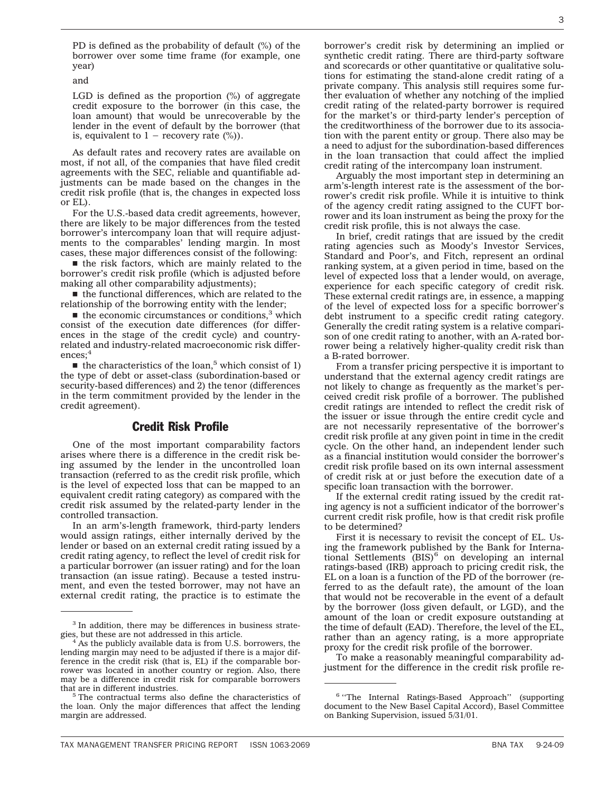PD is defined as the probability of default (%) of the borrower over some time frame (for example, one year)

and

LGD is defined as the proportion (%) of aggregate credit exposure to the borrower (in this case, the loan amount) that would be unrecoverable by the lender in the event of default by the borrower (that is, equivalent to  $1 -$  recovery rate  $(\%)$ .

As default rates and recovery rates are available on most, if not all, of the companies that have filed credit agreements with the SEC, reliable and quantifiable adjustments can be made based on the changes in the credit risk profile (that is, the changes in expected loss or EL).

For the U.S.-based data credit agreements, however, there are likely to be major differences from the tested borrower's intercompany loan that will require adjustments to the comparables' lending margin. In most cases, these major differences consist of the following:

 $\blacksquare$  the risk factors, which are mainly related to the borrower's credit risk profile (which is adjusted before making all other comparability adjustments);

 $\blacksquare$  the functional differences, which are related to the relationship of the borrowing entity with the lender;

 $\blacksquare$  the economic circumstances or conditions,<sup>3</sup> which consist of the execution date differences (for differences in the stage of the credit cycle) and countryrelated and industry-related macroeconomic risk differences;<sup>4</sup>

 $\blacksquare$  the characteristics of the loan,<sup>5</sup> which consist of 1) the type of debt or asset-class (subordination-based or security-based differences) and 2) the tenor (differences in the term commitment provided by the lender in the credit agreement).

# Credit Risk Profile

One of the most important comparability factors arises where there is a difference in the credit risk being assumed by the lender in the uncontrolled loan transaction (referred to as the credit risk profile, which is the level of expected loss that can be mapped to an equivalent credit rating category) as compared with the credit risk assumed by the related-party lender in the controlled transaction.

In an arm's-length framework, third-party lenders would assign ratings, either internally derived by the lender or based on an external credit rating issued by a credit rating agency, to reflect the level of credit risk for a particular borrower (an issuer rating) and for the loan transaction (an issue rating). Because a tested instrument, and even the tested borrower, may not have an external credit rating, the practice is to estimate the

borrower's credit risk by determining an implied or synthetic credit rating. There are third-party software and scorecards or other quantitative or qualitative solutions for estimating the stand-alone credit rating of a private company. This analysis still requires some further evaluation of whether any notching of the implied credit rating of the related-party borrower is required for the market's or third-party lender's perception of the creditworthiness of the borrower due to its association with the parent entity or group. There also may be a need to adjust for the subordination-based differences in the loan transaction that could affect the implied credit rating of the intercompany loan instrument.

Arguably the most important step in determining an arm's-length interest rate is the assessment of the borrower's credit risk profile. While it is intuitive to think of the agency credit rating assigned to the CUFT borrower and its loan instrument as being the proxy for the credit risk profile, this is not always the case.

In brief, credit ratings that are issued by the credit rating agencies such as Moody's Investor Services, Standard and Poor's, and Fitch, represent an ordinal ranking system, at a given period in time, based on the level of expected loss that a lender would, on average, experience for each specific category of credit risk. These external credit ratings are, in essence, a mapping of the level of expected loss for a specific borrower's debt instrument to a specific credit rating category. Generally the credit rating system is a relative comparison of one credit rating to another, with an A-rated borrower being a relatively higher-quality credit risk than a B-rated borrower.

From a transfer pricing perspective it is important to understand that the external agency credit ratings are not likely to change as frequently as the market's perceived credit risk profile of a borrower. The published credit ratings are intended to reflect the credit risk of the issuer or issue through the entire credit cycle and are not necessarily representative of the borrower's credit risk profile at any given point in time in the credit cycle. On the other hand, an independent lender such as a financial institution would consider the borrower's credit risk profile based on its own internal assessment of credit risk at or just before the execution date of a specific loan transaction with the borrower.

If the external credit rating issued by the credit rating agency is not a sufficient indicator of the borrower's current credit risk profile, how is that credit risk profile to be determined?

First it is necessary to revisit the concept of EL. Using the framework published by the Bank for International Settlements  $(BIS)^6$  on developing an internal ratings-based (IRB) approach to pricing credit risk, the EL on a loan is a function of the PD of the borrower (referred to as the default rate), the amount of the loan that would not be recoverable in the event of a default by the borrower (loss given default, or LGD), and the amount of the loan or credit exposure outstanding at the time of default (EAD). Therefore, the level of the EL, rather than an agency rating, is a more appropriate proxy for the credit risk profile of the borrower.

To make a reasonably meaningful comparability adjustment for the difference in the credit risk profile re-

<sup>&</sup>lt;sup>3</sup> In addition, there may be differences in business strategies, but these are not addressed in this article.<br><sup>4</sup> As the publicly available data is from U.S. borrowers, the

lending margin may need to be adjusted if there is a major difference in the credit risk (that is, EL) if the comparable borrower was located in another country or region. Also, there may be a difference in credit risk for comparable borrowers

that are in different industries. <sup>5</sup> The contractual terms also define the characteristics of the loan. Only the major differences that affect the lending margin are addressed.

<sup>&</sup>lt;sup>6</sup> "The Internal Ratings-Based Approach" (supporting document to the New Basel Capital Accord), Basel Committee on Banking Supervision, issued 5/31/01.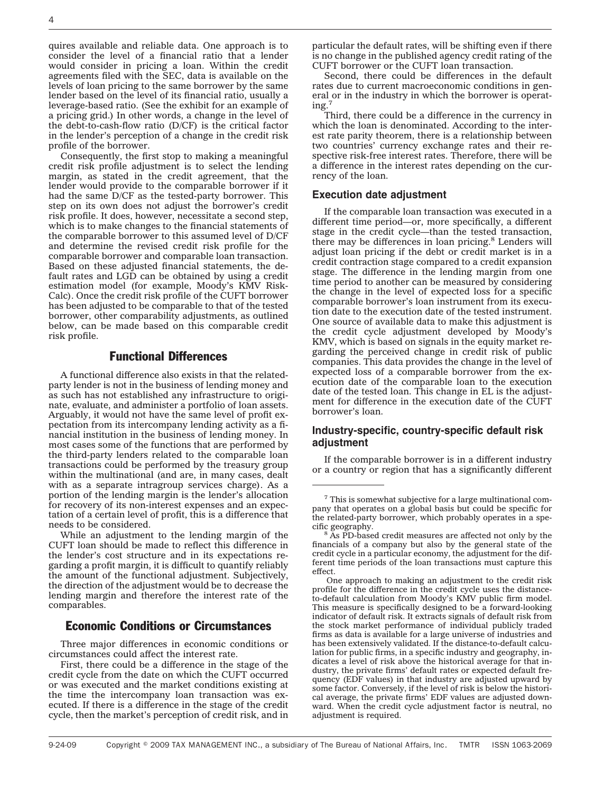quires available and reliable data. One approach is to consider the level of a financial ratio that a lender would consider in pricing a loan. Within the credit agreements filed with the SEC, data is available on the levels of loan pricing to the same borrower by the same lender based on the level of its financial ratio, usually a leverage-based ratio. (See the exhibit for an example of a pricing grid.) In other words, a change in the level of the debt-to-cash-flow ratio (D/CF) is the critical factor in the lender's perception of a change in the credit risk profile of the borrower.

Consequently, the first stop to making a meaningful credit risk profile adjustment is to select the lending margin, as stated in the credit agreement, that the lender would provide to the comparable borrower if it had the same D/CF as the tested-party borrower. This step on its own does not adjust the borrower's credit risk profile. It does, however, necessitate a second step, which is to make changes to the financial statements of the comparable borrower to this assumed level of D/CF and determine the revised credit risk profile for the comparable borrower and comparable loan transaction. Based on these adjusted financial statements, the default rates and LGD can be obtained by using a credit estimation model (for example, Moody's KMV Risk-Calc). Once the credit risk profile of the CUFT borrower has been adjusted to be comparable to that of the tested borrower, other comparability adjustments, as outlined below, can be made based on this comparable credit risk profile.

# Functional Differences

A functional difference also exists in that the relatedparty lender is not in the business of lending money and as such has not established any infrastructure to originate, evaluate, and administer a portfolio of loan assets. Arguably, it would not have the same level of profit expectation from its intercompany lending activity as a financial institution in the business of lending money. In most cases some of the functions that are performed by the third-party lenders related to the comparable loan transactions could be performed by the treasury group within the multinational (and are, in many cases, dealt with as a separate intragroup services charge). As a portion of the lending margin is the lender's allocation for recovery of its non-interest expenses and an expectation of a certain level of profit, this is a difference that needs to be considered.

While an adjustment to the lending margin of the CUFT loan should be made to reflect this difference in the lender's cost structure and in its expectations regarding a profit margin, it is difficult to quantify reliably the amount of the functional adjustment. Subjectively, the direction of the adjustment would be to decrease the lending margin and therefore the interest rate of the comparables.

# Economic Conditions or Circumstances

Three major differences in economic conditions or circumstances could affect the interest rate.

First, there could be a difference in the stage of the credit cycle from the date on which the CUFT occurred or was executed and the market conditions existing at the time the intercompany loan transaction was executed. If there is a difference in the stage of the credit cycle, then the market's perception of credit risk, and in

particular the default rates, will be shifting even if there is no change in the published agency credit rating of the CUFT borrower or the CUFT loan transaction.

Second, there could be differences in the default rates due to current macroeconomic conditions in general or in the industry in which the borrower is operating.7

Third, there could be a difference in the currency in which the loan is denominated. According to the interest rate parity theorem, there is a relationship between two countries' currency exchange rates and their respective risk-free interest rates. Therefore, there will be a difference in the interest rates depending on the currency of the loan.

#### **Execution date adjustment**

If the comparable loan transaction was executed in a different time period—or, more specifically, a different stage in the credit cycle—than the tested transaction, there may be differences in loan pricing.<sup>8</sup> Lenders will adjust loan pricing if the debt or credit market is in a credit contraction stage compared to a credit expansion stage. The difference in the lending margin from one time period to another can be measured by considering the change in the level of expected loss for a specific comparable borrower's loan instrument from its execution date to the execution date of the tested instrument. One source of available data to make this adjustment is the credit cycle adjustment developed by Moody's KMV, which is based on signals in the equity market regarding the perceived change in credit risk of public companies. This data provides the change in the level of expected loss of a comparable borrower from the execution date of the comparable loan to the execution date of the tested loan. This change in EL is the adjustment for difference in the execution date of the CUFT borrower's loan.

# **Industry-specific, country-specific default risk adjustment**

If the comparable borrower is in a different industry or a country or region that has a significantly different

 $7$  This is somewhat subjective for a large multinational company that operates on a global basis but could be specific for the related-party borrower, which probably operates in a specific geography. <sup>8</sup> As PD-based credit measures are affected not only by the

financials of a company but also by the general state of the credit cycle in a particular economy, the adjustment for the different time periods of the loan transactions must capture this effect.

One approach to making an adjustment to the credit risk profile for the difference in the credit cycle uses the distanceto-default calculation from Moody's KMV public firm model. This measure is specifically designed to be a forward-looking indicator of default risk. It extracts signals of default risk from the stock market performance of individual publicly traded firms as data is available for a large universe of industries and has been extensively validated. If the distance-to-default calculation for public firms, in a specific industry and geography, indicates a level of risk above the historical average for that industry, the private firms' default rates or expected default frequency (EDF values) in that industry are adjusted upward by some factor. Conversely, if the level of risk is below the historical average, the private firms' EDF values are adjusted downward. When the credit cycle adjustment factor is neutral, no adjustment is required.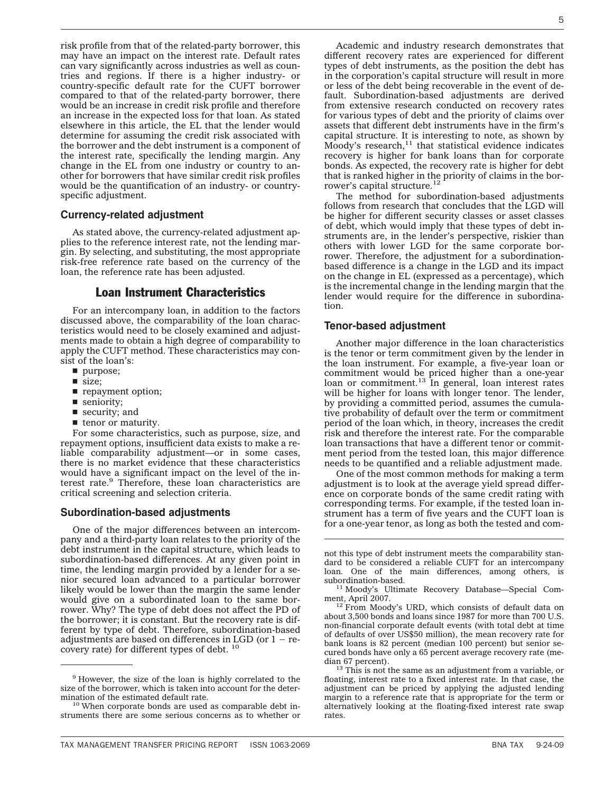risk profile from that of the related-party borrower, this may have an impact on the interest rate. Default rates can vary significantly across industries as well as countries and regions. If there is a higher industry- or country-specific default rate for the CUFT borrower compared to that of the related-party borrower, there would be an increase in credit risk profile and therefore an increase in the expected loss for that loan. As stated elsewhere in this article, the EL that the lender would determine for assuming the credit risk associated with the borrower and the debt instrument is a component of the interest rate, specifically the lending margin. Any change in the EL from one industry or country to another for borrowers that have similar credit risk profiles would be the quantification of an industry- or countryspecific adjustment.

### **Currency-related adjustment**

As stated above, the currency-related adjustment applies to the reference interest rate, not the lending margin. By selecting, and substituting, the most appropriate risk-free reference rate based on the currency of the loan, the reference rate has been adjusted.

# Loan Instrument Characteristics

For an intercompany loan, in addition to the factors discussed above, the comparability of the loan characteristics would need to be closely examined and adjustments made to obtain a high degree of comparability to apply the CUFT method. These characteristics may consist of the loan's:

- $\blacksquare$  purpose;
- $\blacksquare$  size;
- **p** repayment option;
- seniority;
- $\blacksquare$  security; and
- $\blacksquare$  tenor or maturity.

For some characteristics, such as purpose, size, and repayment options, insufficient data exists to make a reliable comparability adjustment—or in some cases, there is no market evidence that these characteristics would have a significant impact on the level of the interest rate.9 Therefore, these loan characteristics are critical screening and selection criteria.

#### **Subordination-based adjustments**

One of the major differences between an intercompany and a third-party loan relates to the priority of the debt instrument in the capital structure, which leads to subordination-based differences. At any given point in time, the lending margin provided by a lender for a senior secured loan advanced to a particular borrower likely would be lower than the margin the same lender would give on a subordinated loan to the same borrower. Why? The type of debt does not affect the PD of the borrower; it is constant. But the recovery rate is different by type of debt. Therefore, subordination-based adjustments are based on differences in LGD (or  $1 -$  recovery rate) for different types of debt. <sup>10</sup>

Academic and industry research demonstrates that different recovery rates are experienced for different types of debt instruments, as the position the debt has in the corporation's capital structure will result in more or less of the debt being recoverable in the event of default. Subordination-based adjustments are derived from extensive research conducted on recovery rates for various types of debt and the priority of claims over assets that different debt instruments have in the firm's capital structure. It is interesting to note, as shown by  $M$ oody's research,<sup>11</sup> that statistical evidence indicates recovery is higher for bank loans than for corporate bonds. As expected, the recovery rate is higher for debt that is ranked higher in the priority of claims in the borrower's capital structure.<sup>12</sup>

The method for subordination-based adjustments follows from research that concludes that the LGD will be higher for different security classes or asset classes of debt, which would imply that these types of debt instruments are, in the lender's perspective, riskier than others with lower LGD for the same corporate borrower. Therefore, the adjustment for a subordinationbased difference is a change in the LGD and its impact on the change in EL (expressed as a percentage), which is the incremental change in the lending margin that the lender would require for the difference in subordination.

#### **Tenor-based adjustment**

Another major difference in the loan characteristics is the tenor or term commitment given by the lender in the loan instrument. For example, a five-year loan or commitment would be priced higher than a one-year loan or commitment.<sup>13</sup> In general, loan interest rates will be higher for loans with longer tenor. The lender, by providing a committed period, assumes the cumulative probability of default over the term or commitment period of the loan which, in theory, increases the credit risk and therefore the interest rate. For the comparable loan transactions that have a different tenor or commitment period from the tested loan, this major difference needs to be quantified and a reliable adjustment made.

One of the most common methods for making a term adjustment is to look at the average yield spread difference on corporate bonds of the same credit rating with corresponding terms. For example, if the tested loan instrument has a term of five years and the CUFT loan is for a one-year tenor, as long as both the tested and com-

<sup>&</sup>lt;sup>9</sup> However, the size of the loan is highly correlated to the size of the borrower, which is taken into account for the determination of the estimated default rate.<br> $10$  When corporate bonds are used as comparable debt in-

struments there are some serious concerns as to whether or

not this type of debt instrument meets the comparability standard to be considered a reliable CUFT for an intercompany loan. One of the main differences, among others, is subordination-based. <sup>11</sup> Moody's Ultimate Recovery Database—Special Com-

ment, April 2007.<br><sup>12</sup> From Moody's URD, which consists of default data on

about 3,500 bonds and loans since 1987 for more than 700 U.S. non-financial corporate default events (with total debt at time of defaults of over US\$50 million), the mean recovery rate for bank loans is 82 percent (median 100 percent) but senior secured bonds have only a 65 percent average recovery rate (me-

 $13$  This is not the same as an adjustment from a variable, or floating, interest rate to a fixed interest rate. In that case, the adjustment can be priced by applying the adjusted lending margin to a reference rate that is appropriate for the term or alternatively looking at the floating-fixed interest rate swap rates.